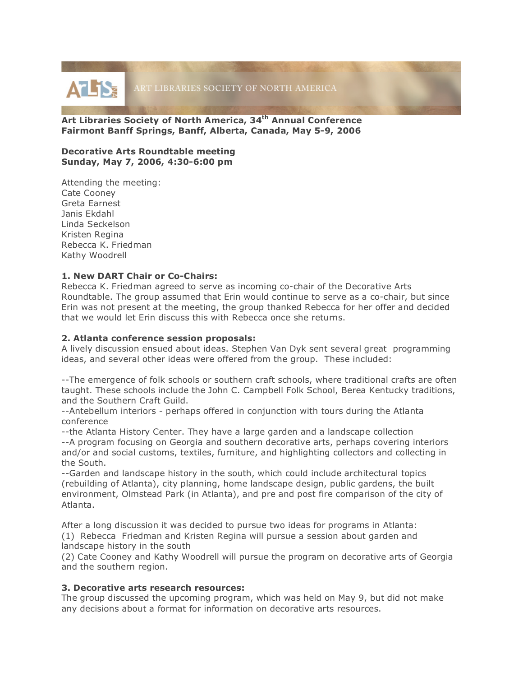

**Art Libraries Society of North America, 34th Annual Conference Fairmont Banff Springs, Banff, Alberta, Canada, May 5-9, 2006**

#### **Decorative Arts Roundtable meeting Sunday, May 7, 2006, 4:30-6:00 pm**

Attending the meeting: Cate Cooney Greta Earnest Janis Ekdahl Linda Seckelson Kristen Regina Rebecca K. Friedman Kathy Woodrell

## **1. New DART Chair or Co-Chairs:**

Rebecca K. Friedman agreed to serve as incoming co-chair of the Decorative Arts Roundtable. The group assumed that Erin would continue to serve as a co-chair, but since Erin was not present at the meeting, the group thanked Rebecca for her offer and decided that we would let Erin discuss this with Rebecca once she returns.

## **2. Atlanta conference session proposals:**

A lively discussion ensued about ideas. Stephen Van Dyk sent several great programming ideas, and several other ideas were offered from the group. These included:

--The emergence of folk schools or southern craft schools, where traditional crafts are often taught. These schools include the John C. Campbell Folk School, Berea Kentucky traditions, and the Southern Craft Guild.

--Antebellum interiors - perhaps offered in conjunction with tours during the Atlanta conference

--the Atlanta History Center. They have a large garden and a landscape collection

--A program focusing on Georgia and southern decorative arts, perhaps covering interiors and/or and social customs, textiles, furniture, and highlighting collectors and collecting in the South.

--Garden and landscape history in the south, which could include architectural topics (rebuilding of Atlanta), city planning, home landscape design, public gardens, the built environment, Olmstead Park (in Atlanta), and pre and post fire comparison of the city of Atlanta.

After a long discussion it was decided to pursue two ideas for programs in Atlanta: (1) Rebecca Friedman and Kristen Regina will pursue a session about garden and landscape history in the south

(2) Cate Cooney and Kathy Woodrell will pursue the program on decorative arts of Georgia and the southern region.

## **3. Decorative arts research resources:**

The group discussed the upcoming program, which was held on May 9, but did not make any decisions about a format for information on decorative arts resources.